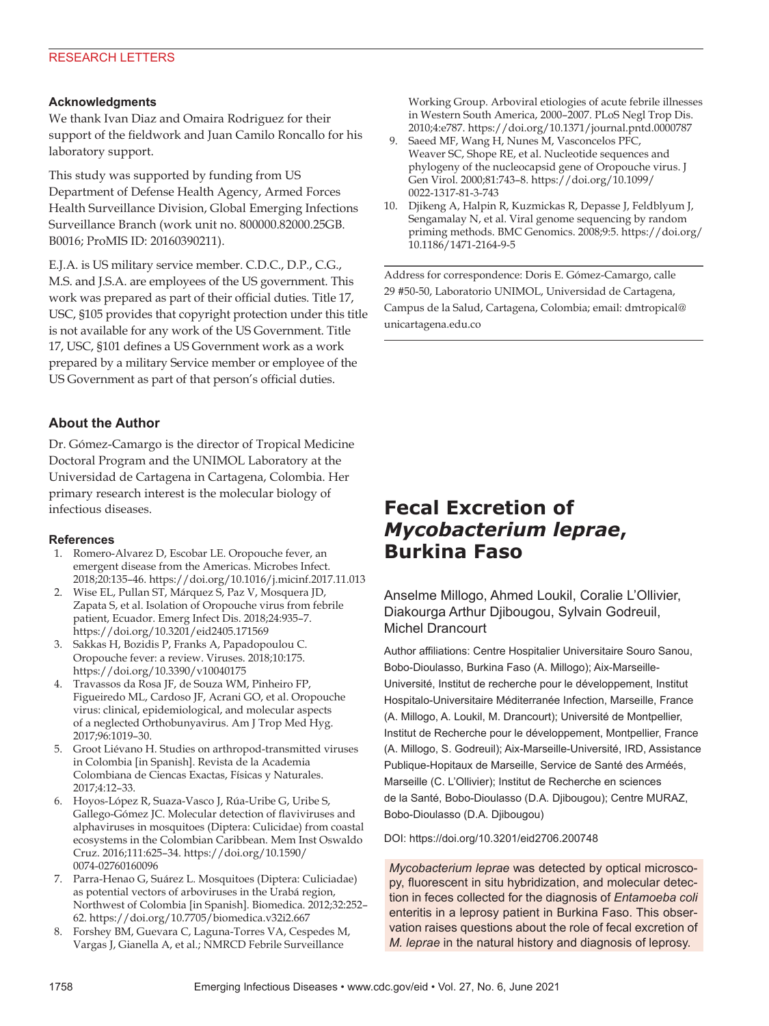## **Acknowledgments**

We thank Ivan Diaz and Omaira Rodriguez for their support of the fieldwork and Juan Camilo Roncallo for his laboratory support.

This study was supported by funding from US Department of Defense Health Agency, Armed Forces Health Surveillance Division, Global Emerging Infections Surveillance Branch (work unit no. 800000.82000.25GB. B0016; ProMIS ID: 20160390211).

E.J.A. is US military service member. C.D.C., D.P., C.G., M.S. and J.S.A. are employees of the US government. This work was prepared as part of their official duties. Title 17, USC, §105 provides that copyright protection under this title is not available for any work of the US Government. Title 17, USC, §101 defines a US Government work as a work prepared by a military Service member or employee of the US Government as part of that person's official duties.

# **About the Author**

Dr. Gómez-Camargo is the director of Tropical Medicine Doctoral Program and the UNIMOL Laboratory at the Universidad de Cartagena in Cartagena, Colombia. Her primary research interest is the molecular biology of infectious diseases.

### **References**

- 1. Romero-Alvarez D, Escobar LE. Oropouche fever, an emergent disease from the Americas. Microbes Infect. 2018;20:135–46. https://doi.org/10.1016/j.micinf.2017.11.013
- 2. Wise EL, Pullan ST, Márquez S, Paz V, Mosquera JD, Zapata S, et al. Isolation of Oropouche virus from febrile patient, Ecuador. Emerg Infect Dis. 2018;24:935–7. https://doi.org/10.3201/eid2405.171569
- 3. Sakkas H, Bozidis P, Franks A, Papadopoulou C. Oropouche fever: a review. Viruses. 2018;10:175. https://doi.org/10.3390/v10040175
- 4. Travassos da Rosa JF, de Souza WM, Pinheiro FP, Figueiredo ML, Cardoso JF, Acrani GO, et al. Oropouche virus: clinical, epidemiological, and molecular aspects of a neglected Orthobunyavirus. Am J Trop Med Hyg. 2017;96:1019–30.
- 5. Groot Liévano H. Studies on arthropod-transmitted viruses in Colombia [in Spanish]. Revista de la Academia Colombiana de Ciencas Exactas, Físicas y Naturales. 2017;4:12–33.
- 6. Hoyos-López R, Suaza-Vasco J, Rúa-Uribe G, Uribe S, Gallego-Gómez JC. Molecular detection of flaviviruses and alphaviruses in mosquitoes (Diptera: Culicidae) from coastal ecosystems in the Colombian Caribbean. Mem Inst Oswaldo Cruz. 2016;111:625–34. https://doi.org/10.1590/ 0074-02760160096
- 7. Parra-Henao G, Suárez L. Mosquitoes (Diptera: Culiciadae) as potential vectors of arboviruses in the Urabá region, Northwest of Colombia [in Spanish]. Biomedica. 2012;32:252– 62. https://doi.org/10.7705/biomedica.v32i2.667
- 8. Forshey BM, Guevara C, Laguna-Torres VA, Cespedes M, Vargas J, Gianella A, et al.; NMRCD Febrile Surveillance

Working Group. Arboviral etiologies of acute febrile illnesses in Western South America, 2000–2007. PLoS Negl Trop Dis. 2010;4:e787. https://doi.org/10.1371/journal.pntd.0000787

- 9. Saeed MF, Wang H, Nunes M, Vasconcelos PFC, Weaver SC, Shope RE, et al. Nucleotide sequences and phylogeny of the nucleocapsid gene of Oropouche virus. J Gen Virol. 2000;81:743–8. https://doi.org/10.1099/ 0022-1317-81-3-743
- 10. Djikeng A, Halpin R, Kuzmickas R, Depasse J, Feldblyum J, Sengamalay N, et al. Viral genome sequencing by random priming methods. BMC Genomics. 2008;9:5. https://doi.org/ 10.1186/1471-2164-9-5

Address for correspondence: Doris E. Gómez-Camargo, calle 29 #50-50, Laboratorio UNIMOL, Universidad de Cartagena, Campus de la Salud, Cartagena, Colombia; email: dmtropical@ unicartagena.edu.co

# **Fecal Excretion of**  *Mycobacterium leprae***, Burkina Faso**

Anselme Millogo, Ahmed Loukil, Coralie L'Ollivier, Diakourga Arthur Djibougou, Sylvain Godreuil, Michel Drancourt

Author affiliations: Centre Hospitalier Universitaire Souro Sanou, Bobo-Dioulasso, Burkina Faso (A. Millogo); Aix-Marseille-Université, Institut de recherche pour le développement, Institut Hospitalo-Universitaire Méditerranée Infection, Marseille, France (A. Millogo, A. Loukil, M. Drancourt); Université de Montpellier, Institut de Recherche pour le développement, Montpellier, France (A. Millogo, S. Godreuil); Aix-Marseille-Université, IRD, Assistance Publique-Hopitaux de Marseille, Service de Santé des Arméés, Marseille (C. L'Ollivier); Institut de Recherche en sciences de la Santé, Bobo-Dioulasso (D.A. Djibougou); Centre MURAZ, Bobo-Dioulasso (D.A. Djibougou)

#### DOI: https://doi.org/10.3201/eid2706.200748

*Mycobacterium leprae* was detected by optical microscopy, fluorescent in situ hybridization, and molecular detection in feces collected for the diagnosis of *Entamoeba coli* enteritis in a leprosy patient in Burkina Faso. This observation raises questions about the role of fecal excretion of *M. leprae* in the natural history and diagnosis of leprosy.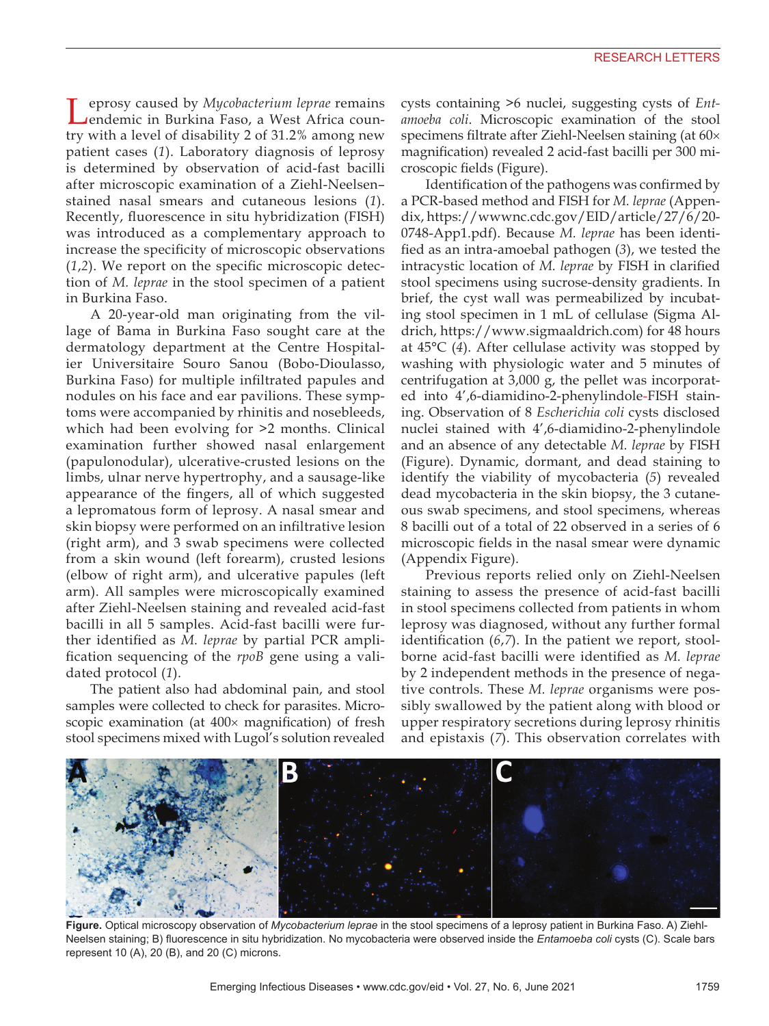Leprosy caused by *Mycobacterium leprae* remains endemic in Burkina Faso, a West Africa country with a level of disability 2 of 31.2% among new patient cases (*1*). Laboratory diagnosis of leprosy is determined by observation of acid-fast bacilli after microscopic examination of a Ziehl-Neelsen– stained nasal smears and cutaneous lesions (*1*). Recently, fluorescence in situ hybridization (FISH) was introduced as a complementary approach to increase the specificity of microscopic observations (*1*,*2*). We report on the specific microscopic detection of *M. leprae* in the stool specimen of a patient in Burkina Faso.

A 20-year-old man originating from the village of Bama in Burkina Faso sought care at the dermatology department at the Centre Hospitalier Universitaire Souro Sanou (Bobo-Dioulasso, Burkina Faso) for multiple infiltrated papules and nodules on his face and ear pavilions. These symptoms were accompanied by rhinitis and nosebleeds, which had been evolving for >2 months. Clinical examination further showed nasal enlargement (papulonodular), ulcerative-crusted lesions on the limbs, ulnar nerve hypertrophy, and a sausage-like appearance of the fingers, all of which suggested a lepromatous form of leprosy. A nasal smear and skin biopsy were performed on an infiltrative lesion (right arm), and 3 swab specimens were collected from a skin wound (left forearm), crusted lesions (elbow of right arm), and ulcerative papules (left arm). All samples were microscopically examined after Ziehl-Neelsen staining and revealed acid-fast bacilli in all 5 samples. Acid-fast bacilli were further identified as *M. leprae* by partial PCR amplification sequencing of the *rpoB* gene using a validated protocol (*1*).

The patient also had abdominal pain, and stool samples were collected to check for parasites. Microscopic examination (at 400× magnification) of fresh stool specimens mixed with Lugol's solution revealed

cysts containing >6 nuclei, suggesting cysts of *Entamoeba coli*. Microscopic examination of the stool specimens filtrate after Ziehl-Neelsen staining (at 60× magnification) revealed 2 acid-fast bacilli per 300 microscopic fields (Figure).

Identification of the pathogens was confirmed by a PCR-based method and FISH for *M. leprae* (Appendix, https://wwwnc.cdc.gov/EID/article/27/6/20- 0748-App1.pdf). Because *M. leprae* has been identified as an intra-amoebal pathogen (*3*), we tested the intracystic location of *M. leprae* by FISH in clarified stool specimens using sucrose-density gradients. In brief, the cyst wall was permeabilized by incubating stool specimen in 1 mL of cellulase (Sigma Aldrich, https://www.sigmaaldrich.com) for 48 hours at 45°C (*4*). After cellulase activity was stopped by washing with physiologic water and 5 minutes of centrifugation at 3,000 g, the pellet was incorporated into 4',6-diamidino-2-phenylindole-FISH staining. Observation of 8 *Escherichia coli* cysts disclosed nuclei stained with 4',6-diamidino-2-phenylindole and an absence of any detectable *M. leprae* by FISH (Figure). Dynamic, dormant, and dead staining to identify the viability of mycobacteria (*5*) revealed dead mycobacteria in the skin biopsy, the 3 cutaneous swab specimens, and stool specimens, whereas 8 bacilli out of a total of 22 observed in a series of 6 microscopic fields in the nasal smear were dynamic (Appendix Figure).

Previous reports relied only on Ziehl-Neelsen staining to assess the presence of acid-fast bacilli in stool specimens collected from patients in whom leprosy was diagnosed, without any further formal identification (*6*,*7*). In the patient we report, stoolborne acid-fast bacilli were identified as *M. leprae* by 2 independent methods in the presence of negative controls. These *M. leprae* organisms were possibly swallowed by the patient along with blood or upper respiratory secretions during leprosy rhinitis and epistaxis (*7*). This observation correlates with



**Figure.** Optical microscopy observation of *Mycobacterium leprae* in the stool specimens of a leprosy patient in Burkina Faso. A) Ziehl-Neelsen staining; B) fluorescence in situ hybridization. No mycobacteria were observed inside the *Entamoeba coli* cysts (C). Scale bars represent 10 (A), 20 (B), and 20 (C) microns.